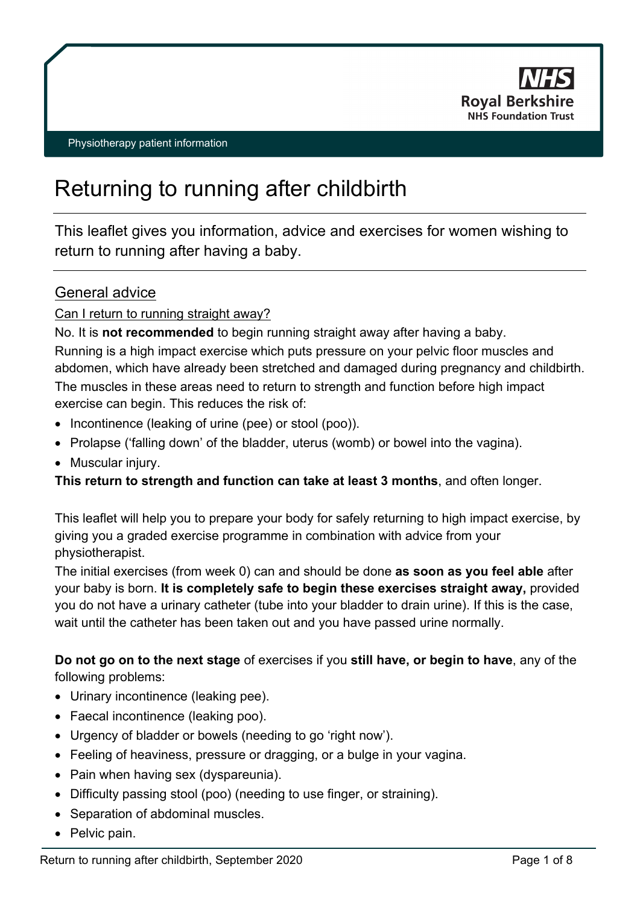

# Returning to running after childbirth

This leaflet gives you information, advice and exercises for women wishing to return to running after having a baby.

### General advice

#### Can I return to running straight away?

No. It is **not recommended** to begin running straight away after having a baby. Running is a high impact exercise which puts pressure on your pelvic floor muscles and abdomen, which have already been stretched and damaged during pregnancy and childbirth.

The muscles in these areas need to return to strength and function before high impact exercise can begin. This reduces the risk of:

- Incontinence (leaking of urine (pee) or stool (poo)).
- Prolapse ('falling down' of the bladder, uterus (womb) or bowel into the vagina).
- Muscular injury.

#### **This return to strength and function can take at least 3 months**, and often longer.

This leaflet will help you to prepare your body for safely returning to high impact exercise, by giving you a graded exercise programme in combination with advice from your physiotherapist.

The initial exercises (from week 0) can and should be done **as soon as you feel able** after your baby is born. **It is completely safe to begin these exercises straight away,** provided you do not have a urinary catheter (tube into your bladder to drain urine). If this is the case, wait until the catheter has been taken out and you have passed urine normally.

**Do not go on to the next stage** of exercises if you **still have, or begin to have**, any of the following problems:

- Urinary incontinence (leaking pee).
- Faecal incontinence (leaking poo).
- Urgency of bladder or bowels (needing to go 'right now').
- Feeling of heaviness, pressure or dragging, or a bulge in your vagina.
- Pain when having sex (dyspareunia).
- Difficulty passing stool (poo) (needing to use finger, or straining).
- Separation of abdominal muscles.
- Pelvic pain.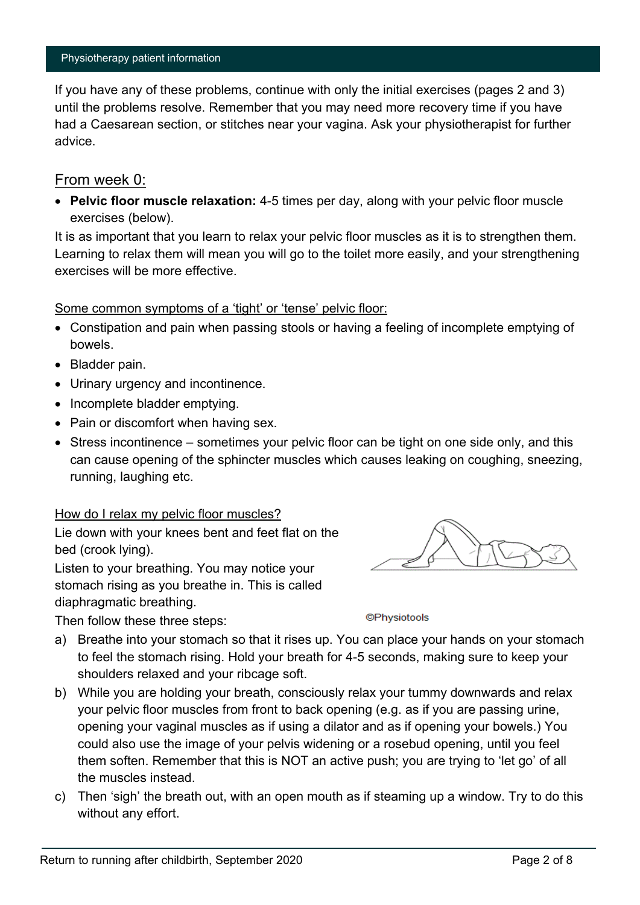If you have any of these problems, continue with only the initial exercises (pages 2 and 3) until the problems resolve. Remember that you may need more recovery time if you have had a Caesarean section, or stitches near your vagina. Ask your physiotherapist for further advice.

#### From week 0:

• **Pelvic floor muscle relaxation:** 4-5 times per day, along with your pelvic floor muscle exercises (below).

It is as important that you learn to relax your pelvic floor muscles as it is to strengthen them. Learning to relax them will mean you will go to the toilet more easily, and your strengthening exercises will be more effective.

#### Some common symptoms of a 'tight' or 'tense' pelvic floor:

- Constipation and pain when passing stools or having a feeling of incomplete emptying of bowels.
- Bladder pain.
- Urinary urgency and incontinence.
- Incomplete bladder emptying.
- Pain or discomfort when having sex.
- Stress incontinence sometimes your pelvic floor can be tight on one side only, and this can cause opening of the sphincter muscles which causes leaking on coughing, sneezing, running, laughing etc.

#### How do I relax my pelvic floor muscles?

Lie down with your knees bent and feet flat on the bed (crook lying).

Listen to your breathing. You may notice your stomach rising as you breathe in. This is called diaphragmatic breathing.

Then follow these three steps:

**©Physiotools** 

- a) Breathe into your stomach so that it rises up. You can place your hands on your stomach to feel the stomach rising. Hold your breath for 4-5 seconds, making sure to keep your shoulders relaxed and your ribcage soft.
- b) While you are holding your breath, consciously relax your tummy downwards and relax your pelvic floor muscles from front to back opening (e.g. as if you are passing urine, opening your vaginal muscles as if using a dilator and as if opening your bowels.) You could also use the image of your pelvis widening or a rosebud opening, until you feel them soften. Remember that this is NOT an active push; you are trying to 'let go' of all the muscles instead.
- c) Then 'sigh' the breath out, with an open mouth as if steaming up a window. Try to do this without any effort.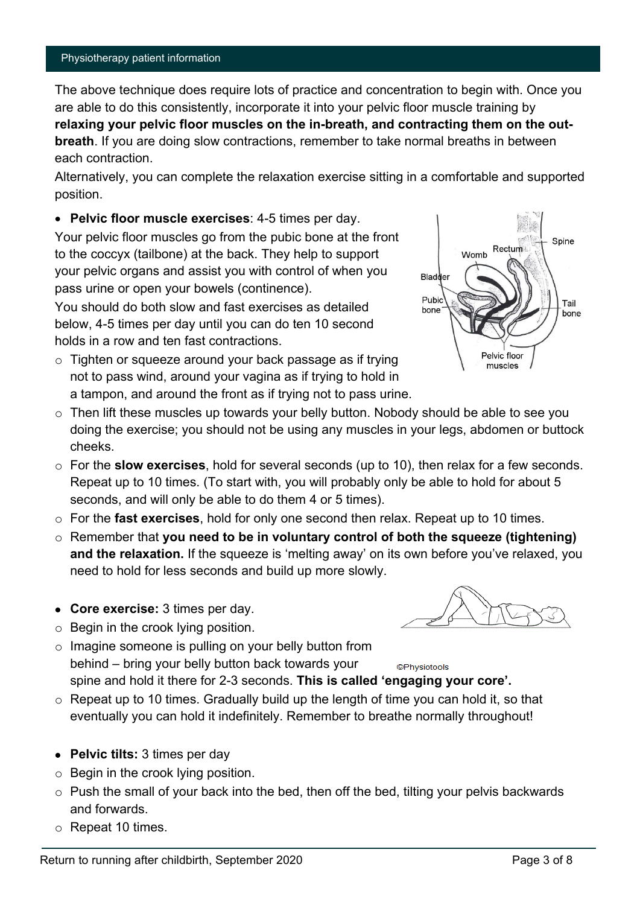The above technique does require lots of practice and concentration to begin with. Once you are able to do this consistently, incorporate it into your pelvic floor muscle training by **relaxing your pelvic floor muscles on the in-breath, and contracting them on the outbreath**. If you are doing slow contractions, remember to take normal breaths in between each contraction.

Alternatively, you can complete the relaxation exercise sitting in a comfortable and supported position.

• **Pelvic floor muscle exercises**: 4-5 times per day. Your pelvic floor muscles go from the pubic bone at the front to the coccyx (tailbone) at the back. They help to support your pelvic organs and assist you with control of when you pass urine or open your bowels (continence).

You should do both slow and fast exercises as detailed below, 4-5 times per day until you can do ten 10 second holds in a row and ten fast contractions.

- o Tighten or squeeze around your back passage as if trying not to pass wind, around your vagina as if trying to hold in a tampon, and around the front as if trying not to pass urine.
- $\circ$  Then lift these muscles up towards your belly button. Nobody should be able to see you doing the exercise; you should not be using any muscles in your legs, abdomen or buttock cheeks.
- o For the **slow exercises**, hold for several seconds (up to 10), then relax for a few seconds. Repeat up to 10 times. (To start with, you will probably only be able to hold for about 5 seconds, and will only be able to do them 4 or 5 times).
- o For the **fast exercises**, hold for only one second then relax. Repeat up to 10 times.
- o Remember that **you need to be in voluntary control of both the squeeze (tightening) and the relaxation.** If the squeeze is 'melting away' on its own before you've relaxed, you need to hold for less seconds and build up more slowly.
- **Core exercise:** 3 times per day.
- o Begin in the crook lying position.
- $\circ$  Imagine someone is pulling on your belly button from behind – bring your belly button back towards your **©Physiotools** spine and hold it there for 2-3 seconds. **This is called 'engaging your core'.**
- $\circ$  Repeat up to 10 times. Gradually build up the length of time you can hold it, so that eventually you can hold it indefinitely. Remember to breathe normally throughout!
- **Pelvic tilts:** 3 times per day
- o Begin in the crook lying position.
- $\circ$  Push the small of your back into the bed, then off the bed, tilting your pelvis backwards and forwards.
- o Repeat 10 times.



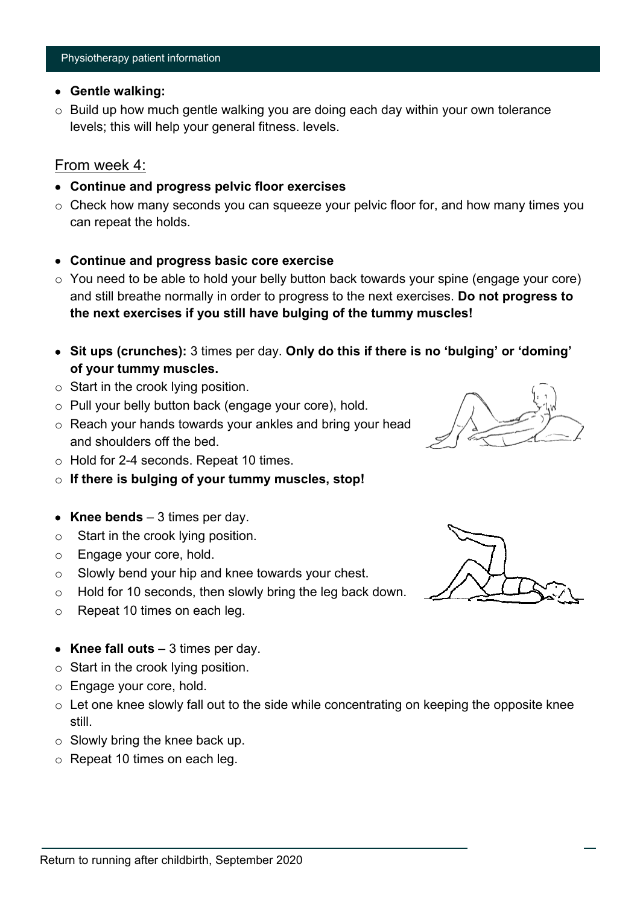### • **Gentle walking:**

 $\circ$  Build up how much gentle walking you are doing each day within your own tolerance levels; this will help your general fitness. levels.

### From week 4:

- **Continue and progress pelvic floor exercises**
- $\circ$  Check how many seconds you can squeeze your pelvic floor for, and how many times you can repeat the holds.

### • **Continue and progress basic core exercise**

- $\circ$  You need to be able to hold your belly button back towards your spine (engage your core) and still breathe normally in order to progress to the next exercises. **Do not progress to the next exercises if you still have bulging of the tummy muscles!**
- **Sit ups (crunches):** 3 times per day. **Only do this if there is no 'bulging' or 'doming' of your tummy muscles.**
- o Start in the crook lying position.
- o Pull your belly button back (engage your core), hold.
- o Reach your hands towards your ankles and bring your head and shoulders off the bed.
- o Hold for 2-4 seconds. Repeat 10 times.
- o **If there is bulging of your tummy muscles, stop!**
- **Knee bends**  3 times per day.
- o Start in the crook lying position.
- o Engage your core, hold.
- $\circ$  Slowly bend your hip and knee towards your chest.
- $\circ$  Hold for 10 seconds, then slowly bring the leg back down.
- o Repeat 10 times on each leg.
- **Knee fall outs**  3 times per day.
- $\circ$  Start in the crook lying position.
- o Engage your core, hold.
- o Let one knee slowly fall out to the side while concentrating on keeping the opposite knee still.
- o Slowly bring the knee back up.
- o Repeat 10 times on each leg.



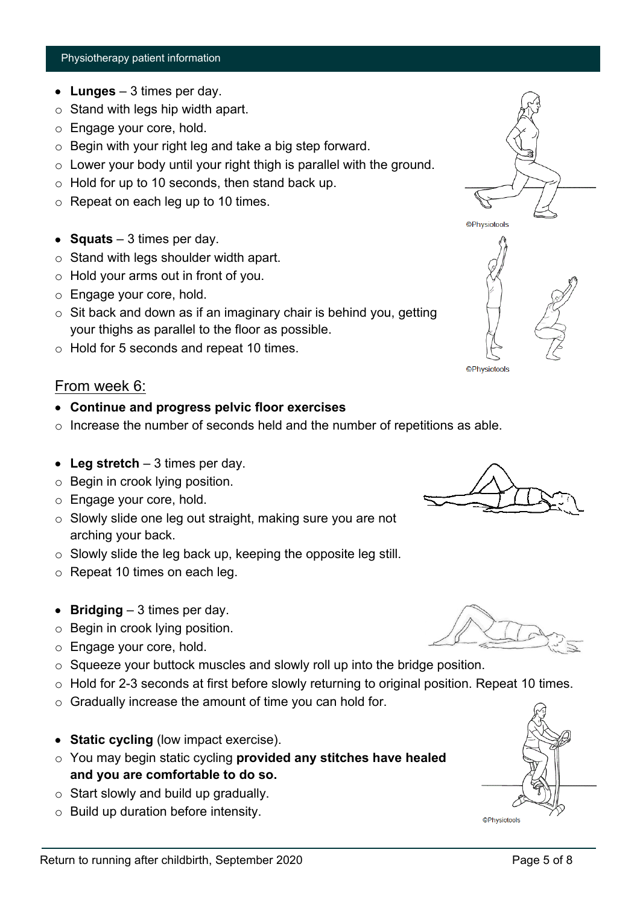- **Lunges**  3 times per day.
- $\circ$  Stand with legs hip width apart.
- o Engage your core, hold.
- o Begin with your right leg and take a big step forward.
- $\circ$  Lower your body until your right thigh is parallel with the ground.
- $\circ$  Hold for up to 10 seconds, then stand back up.
- o Repeat on each leg up to 10 times.
- **Squats**  3 times per day.
- o Stand with legs shoulder width apart.
- o Hold your arms out in front of you.
- o Engage your core, hold.
- $\circ$  Sit back and down as if an imaginary chair is behind you, getting your thighs as parallel to the floor as possible.
- o Hold for 5 seconds and repeat 10 times.

### From week 6:

- **Continue and progress pelvic floor exercises**
- $\circ$  Increase the number of seconds held and the number of repetitions as able.
- **Leg stretch**  3 times per day.
- o Begin in crook lying position.
- o Engage your core, hold.
- o Slowly slide one leg out straight, making sure you are not arching your back.
- o Slowly slide the leg back up, keeping the opposite leg still.
- o Repeat 10 times on each leg.
- **Bridging** 3 times per day.
- o Begin in crook lying position.
- o Engage your core, hold.
- $\circ$  Squeeze your buttock muscles and slowly roll up into the bridge position.
- $\circ$  Hold for 2-3 seconds at first before slowly returning to original position. Repeat 10 times.
- o Gradually increase the amount of time you can hold for.
- **Static cycling** (low impact exercise).
- o You may begin static cycling **provided any stitches have healed and you are comfortable to do so.**
- $\circ$  Start slowly and build up gradually.
- o Build up duration before intensity.



**©Physiotools** 





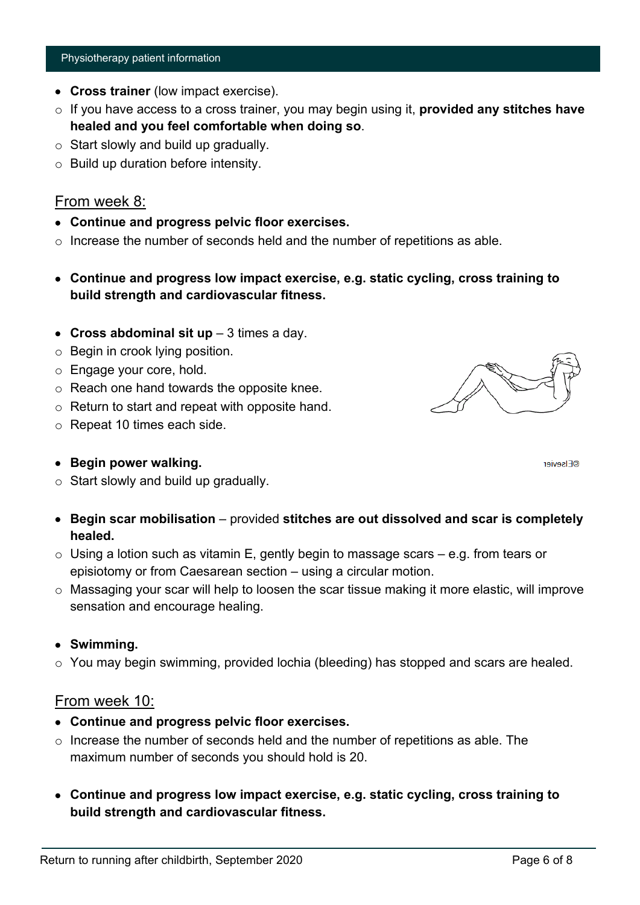- **Cross trainer** (low impact exercise).
- o If you have access to a cross trainer, you may begin using it, **provided any stitches have healed and you feel comfortable when doing so**.
- $\circ$  Start slowly and build up gradually.
- $\circ$  Build up duration before intensity.

### From week 8:

- **Continue and progress pelvic floor exercises.**
- $\circ$  Increase the number of seconds held and the number of repetitions as able.
- **Continue and progress low impact exercise, e.g. static cycling, cross training to build strength and cardiovascular fitness.**
- **Cross abdominal sit up** 3 times a day.
- o Begin in crook lying position.
- o Engage your core, hold.
- o Reach one hand towards the opposite knee.
- $\circ$  Return to start and repeat with opposite hand.
- o Repeat 10 times each side.

### • **Begin power walking.**

- o Start slowly and build up gradually.
- **Begin scar mobilisation** provided **stitches are out dissolved and scar is completely healed.**
- $\circ$  Using a lotion such as vitamin E, gently begin to massage scars e.g. from tears or episiotomy or from Caesarean section – using a circular motion.
- o Massaging your scar will help to loosen the scar tissue making it more elastic, will improve sensation and encourage healing.

### • **Swimming.**

o You may begin swimming, provided lochia (bleeding) has stopped and scars are healed.

### From week 10:

- **Continue and progress pelvic floor exercises.**
- $\circ$  Increase the number of seconds held and the number of repetitions as able. The maximum number of seconds you should hold is 20.
- **Continue and progress low impact exercise, e.g. static cycling, cross training to build strength and cardiovascular fitness.**



**OFIsevier**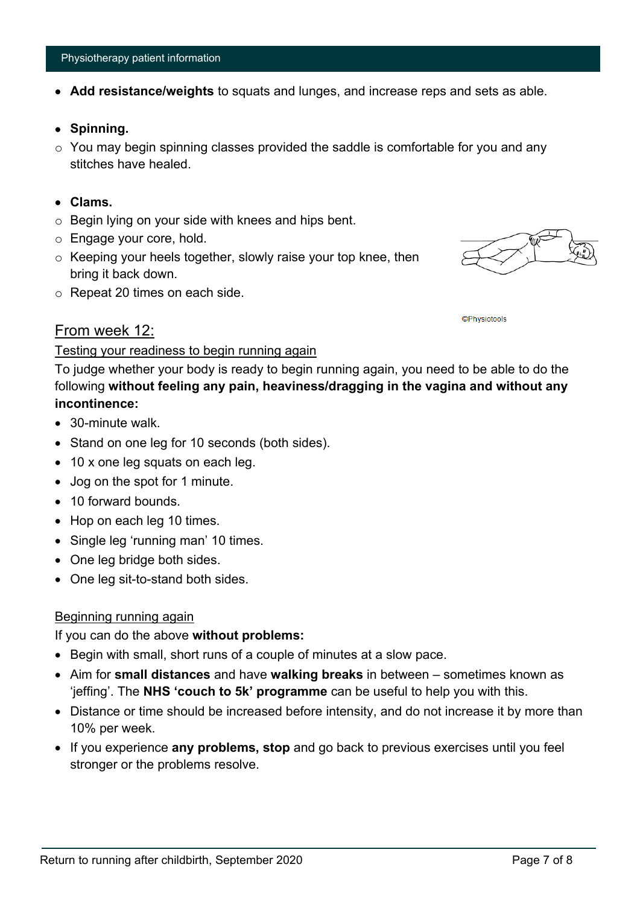- **Add resistance/weights** to squats and lunges, and increase reps and sets as able.
- **Spinning.**
- $\circ$  You may begin spinning classes provided the saddle is comfortable for you and any stitches have healed.
- **Clams.**
- o Begin lying on your side with knees and hips bent.
- o Engage your core, hold.
- o Keeping your heels together, slowly raise your top knee, then bring it back down.
- o Repeat 20 times on each side.

#### **©Physiotools**

#### From week 12:

#### Testing your readiness to begin running again

To judge whether your body is ready to begin running again, you need to be able to do the following **without feeling any pain, heaviness/dragging in the vagina and without any incontinence:**

- 30-minute walk.
- Stand on one leg for 10 seconds (both sides).
- 10 x one leg squats on each leg.
- Jog on the spot for 1 minute.
- 10 forward bounds.
- Hop on each leg 10 times.
- Single leg 'running man' 10 times.
- One leg bridge both sides.
- One leg sit-to-stand both sides.

#### Beginning running again

If you can do the above **without problems:**

- Begin with small, short runs of a couple of minutes at a slow pace.
- Aim for **small distances** and have **walking breaks** in between sometimes known as 'jeffing'. The **NHS 'couch to 5k' programme** can be useful to help you with this.
- Distance or time should be increased before intensity, and do not increase it by more than 10% per week.
- If you experience **any problems, stop** and go back to previous exercises until you feel stronger or the problems resolve.